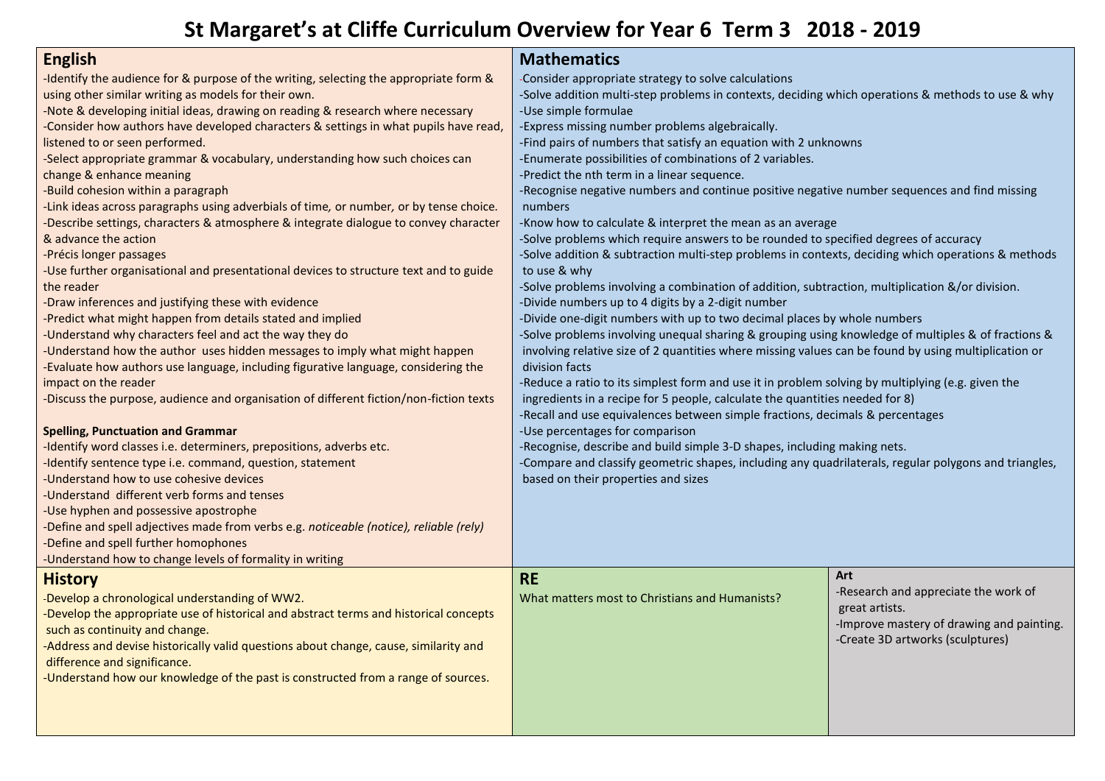## **St Margaret's at Cliffe Curriculum Overview for Year 6 Term 3 2018 - 2019**

| <b>English</b><br>-Identify the audience for & purpose of the writing, selecting the appropriate form &<br>using other similar writing as models for their own.<br>-Note & developing initial ideas, drawing on reading & research where necessary<br>-Consider how authors have developed characters & settings in what pupils have read,<br>listened to or seen performed.<br>-Select appropriate grammar & vocabulary, understanding how such choices can<br>change & enhance meaning<br>-Build cohesion within a paragraph<br>-Link ideas across paragraphs using adverbials of time, or number, or by tense choice.<br>-Describe settings, characters & atmosphere & integrate dialogue to convey character<br>& advance the action<br>-Précis longer passages<br>-Use further organisational and presentational devices to structure text and to guide<br>the reader<br>-Draw inferences and justifying these with evidence<br>-Predict what might happen from details stated and implied<br>-Understand why characters feel and act the way they do<br>-Understand how the author uses hidden messages to imply what might happen<br>-Evaluate how authors use language, including figurative language, considering the<br>impact on the reader<br>-Discuss the purpose, audience and organisation of different fiction/non-fiction texts<br><b>Spelling, Punctuation and Grammar</b><br>-Identify word classes i.e. determiners, prepositions, adverbs etc.<br>-Identify sentence type i.e. command, question, statement<br>-Understand how to use cohesive devices<br>-Understand different verb forms and tenses<br>-Use hyphen and possessive apostrophe | <b>Mathematics</b><br>-Consider appropriate strategy to solve calculations<br>-Solve addition multi-step problems in contexts, deciding which operations & methods to use & why<br>-Use simple formulae<br>-Express missing number problems algebraically.<br>-Find pairs of numbers that satisfy an equation with 2 unknowns<br>-Enumerate possibilities of combinations of 2 variables.<br>-Predict the nth term in a linear sequence.<br>-Recognise negative numbers and continue positive negative number sequences and find missing<br>numbers<br>-Know how to calculate & interpret the mean as an average<br>-Solve problems which require answers to be rounded to specified degrees of accuracy<br>-Solve addition & subtraction multi-step problems in contexts, deciding which operations & methods<br>to use & why<br>-Solve problems involving a combination of addition, subtraction, multiplication &/or division.<br>-Divide numbers up to 4 digits by a 2-digit number<br>-Divide one-digit numbers with up to two decimal places by whole numbers<br>-Solve problems involving unequal sharing & grouping using knowledge of multiples & of fractions &<br>involving relative size of 2 quantities where missing values can be found by using multiplication or<br>division facts<br>-Reduce a ratio to its simplest form and use it in problem solving by multiplying (e.g. given the<br>ingredients in a recipe for 5 people, calculate the quantities needed for 8)<br>-Recall and use equivalences between simple fractions, decimals & percentages<br>-Use percentages for comparison<br>-Recognise, describe and build simple 3-D shapes, including making nets.<br>-Compare and classify geometric shapes, including any quadrilaterals, regular polygons and triangles,<br>based on their properties and sizes |                                                                                                                                                |
|---------------------------------------------------------------------------------------------------------------------------------------------------------------------------------------------------------------------------------------------------------------------------------------------------------------------------------------------------------------------------------------------------------------------------------------------------------------------------------------------------------------------------------------------------------------------------------------------------------------------------------------------------------------------------------------------------------------------------------------------------------------------------------------------------------------------------------------------------------------------------------------------------------------------------------------------------------------------------------------------------------------------------------------------------------------------------------------------------------------------------------------------------------------------------------------------------------------------------------------------------------------------------------------------------------------------------------------------------------------------------------------------------------------------------------------------------------------------------------------------------------------------------------------------------------------------------------------------------------------------------------------------------------------------|------------------------------------------------------------------------------------------------------------------------------------------------------------------------------------------------------------------------------------------------------------------------------------------------------------------------------------------------------------------------------------------------------------------------------------------------------------------------------------------------------------------------------------------------------------------------------------------------------------------------------------------------------------------------------------------------------------------------------------------------------------------------------------------------------------------------------------------------------------------------------------------------------------------------------------------------------------------------------------------------------------------------------------------------------------------------------------------------------------------------------------------------------------------------------------------------------------------------------------------------------------------------------------------------------------------------------------------------------------------------------------------------------------------------------------------------------------------------------------------------------------------------------------------------------------------------------------------------------------------------------------------------------------------------------------------------------------------------------------------------------------------------------------------------------------------------------------------|------------------------------------------------------------------------------------------------------------------------------------------------|
| -Define and spell adjectives made from verbs e.g. noticeable (notice), reliable (rely)<br>-Define and spell further homophones<br>-Understand how to change levels of formality in writing                                                                                                                                                                                                                                                                                                                                                                                                                                                                                                                                                                                                                                                                                                                                                                                                                                                                                                                                                                                                                                                                                                                                                                                                                                                                                                                                                                                                                                                                          |                                                                                                                                                                                                                                                                                                                                                                                                                                                                                                                                                                                                                                                                                                                                                                                                                                                                                                                                                                                                                                                                                                                                                                                                                                                                                                                                                                                                                                                                                                                                                                                                                                                                                                                                                                                                                                          |                                                                                                                                                |
|                                                                                                                                                                                                                                                                                                                                                                                                                                                                                                                                                                                                                                                                                                                                                                                                                                                                                                                                                                                                                                                                                                                                                                                                                                                                                                                                                                                                                                                                                                                                                                                                                                                                     |                                                                                                                                                                                                                                                                                                                                                                                                                                                                                                                                                                                                                                                                                                                                                                                                                                                                                                                                                                                                                                                                                                                                                                                                                                                                                                                                                                                                                                                                                                                                                                                                                                                                                                                                                                                                                                          |                                                                                                                                                |
| <b>History</b><br>-Develop a chronological understanding of WW2.<br>-Develop the appropriate use of historical and abstract terms and historical concepts<br>such as continuity and change.<br>-Address and devise historically valid questions about change, cause, similarity and<br>difference and significance.<br>-Understand how our knowledge of the past is constructed from a range of sources.                                                                                                                                                                                                                                                                                                                                                                                                                                                                                                                                                                                                                                                                                                                                                                                                                                                                                                                                                                                                                                                                                                                                                                                                                                                            | <b>RE</b><br>What matters most to Christians and Humanists?                                                                                                                                                                                                                                                                                                                                                                                                                                                                                                                                                                                                                                                                                                                                                                                                                                                                                                                                                                                                                                                                                                                                                                                                                                                                                                                                                                                                                                                                                                                                                                                                                                                                                                                                                                              | Art<br>-Research and appreciate the work of<br>great artists.<br>-Improve mastery of drawing and painting.<br>-Create 3D artworks (sculptures) |
|                                                                                                                                                                                                                                                                                                                                                                                                                                                                                                                                                                                                                                                                                                                                                                                                                                                                                                                                                                                                                                                                                                                                                                                                                                                                                                                                                                                                                                                                                                                                                                                                                                                                     |                                                                                                                                                                                                                                                                                                                                                                                                                                                                                                                                                                                                                                                                                                                                                                                                                                                                                                                                                                                                                                                                                                                                                                                                                                                                                                                                                                                                                                                                                                                                                                                                                                                                                                                                                                                                                                          |                                                                                                                                                |